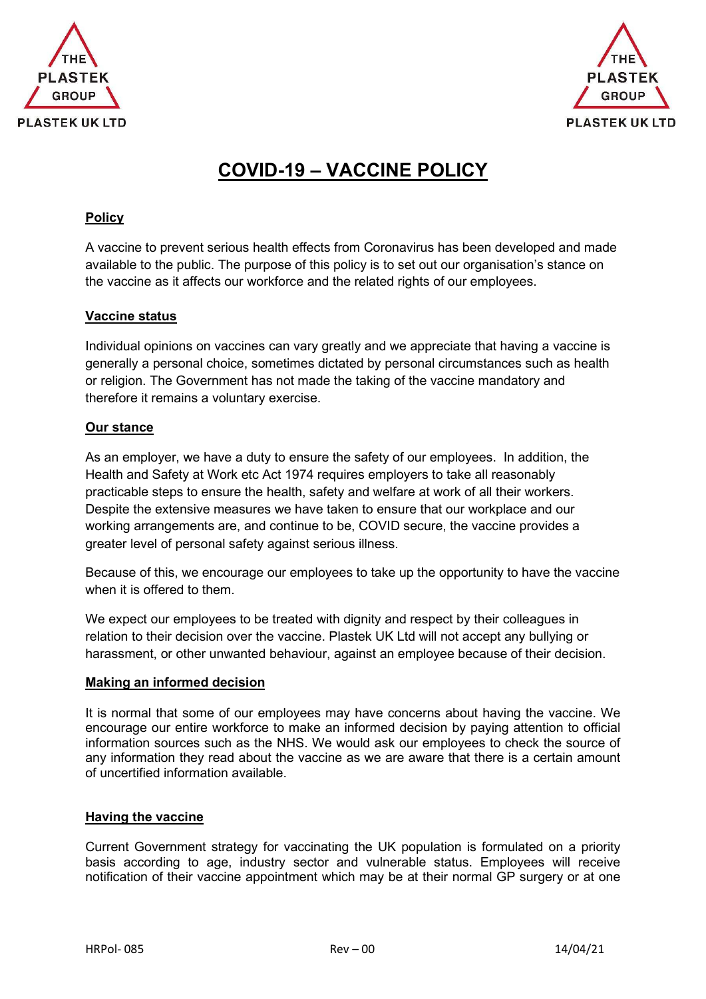



# **COVID-19 – VACCINE POLICY**

# **Policy**

A vaccine to prevent serious health effects from Coronavirus has been developed and made available to the public. The purpose of this policy is to set out our organisation's stance on the vaccine as it affects our workforce and the related rights of our employees.

## **Vaccine status**

Individual opinions on vaccines can vary greatly and we appreciate that having a vaccine is generally a personal choice, sometimes dictated by personal circumstances such as health or religion. The Government has not made the taking of the vaccine mandatory and therefore it remains a voluntary exercise.

## **Our stance**

As an employer, we have a duty to ensure the safety of our employees. In addition, the Health and Safety at Work etc Act 1974 requires employers to take all reasonably practicable steps to ensure the health, safety and welfare at work of all their workers. Despite the extensive measures we have taken to ensure that our workplace and our working arrangements are, and continue to be, COVID secure, the vaccine provides a greater level of personal safety against serious illness.

Because of this, we encourage our employees to take up the opportunity to have the vaccine when it is offered to them.

We expect our employees to be treated with dignity and respect by their colleagues in relation to their decision over the vaccine. Plastek UK Ltd will not accept any bullying or harassment, or other unwanted behaviour, against an employee because of their decision.

#### **Making an informed decision**

It is normal that some of our employees may have concerns about having the vaccine. We encourage our entire workforce to make an informed decision by paying attention to official information sources such as the NHS. We would ask our employees to check the source of any information they read about the vaccine as we are aware that there is a certain amount of uncertified information available.

# **Having the vaccine**

Current Government strategy for vaccinating the UK population is formulated on a priority basis according to age, industry sector and vulnerable status. Employees will receive notification of their vaccine appointment which may be at their normal GP surgery or at one